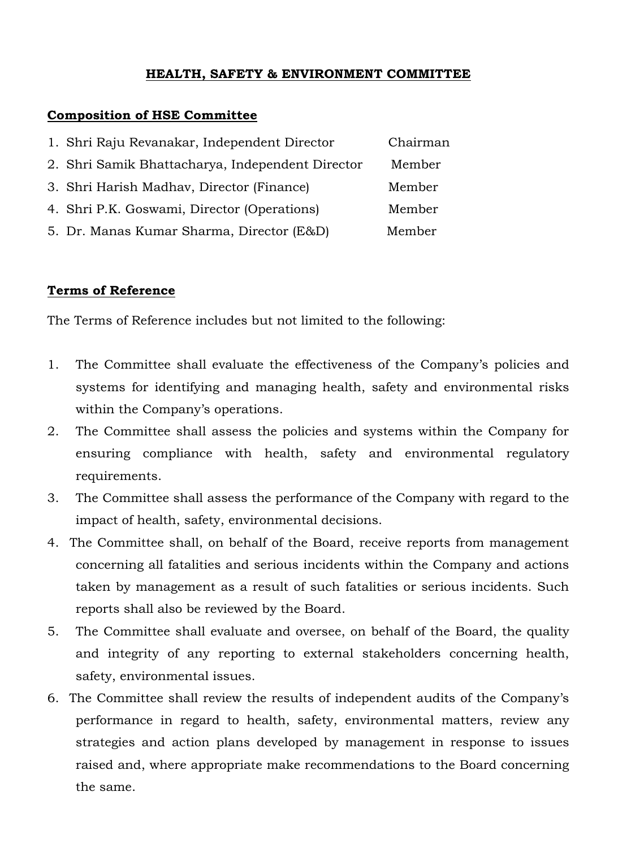## **HEALTH, SAFETY & ENVIRONMENT COMMITTEE**

## **Composition of HSE Committee**

| 1. Shri Raju Revanakar, Independent Director     | Chairman |
|--------------------------------------------------|----------|
| 2. Shri Samik Bhattacharya, Independent Director | Member   |
| 3. Shri Harish Madhav, Director (Finance)        | Member   |
| 4. Shri P.K. Goswami, Director (Operations)      | Member   |
| 5. Dr. Manas Kumar Sharma, Director (E&D)        | Member   |

## **Terms of Reference**

The Terms of Reference includes but not limited to the following:

- 1. The Committee shall evaluate the effectiveness of the Company's policies and systems for identifying and managing health, safety and environmental risks within the Company's operations.
- 2. The Committee shall assess the policies and systems within the Company for ensuring compliance with health, safety and environmental regulatory requirements.
- 3. The Committee shall assess the performance of the Company with regard to the impact of health, safety, environmental decisions.
- 4. The Committee shall, on behalf of the Board, receive reports from management concerning all fatalities and serious incidents within the Company and actions taken by management as a result of such fatalities or serious incidents. Such reports shall also be reviewed by the Board.
- 5. The Committee shall evaluate and oversee, on behalf of the Board, the quality and integrity of any reporting to external stakeholders concerning health, safety, environmental issues.
- 6. The Committee shall review the results of independent audits of the Company's performance in regard to health, safety, environmental matters, review any strategies and action plans developed by management in response to issues raised and, where appropriate make recommendations to the Board concerning the same.